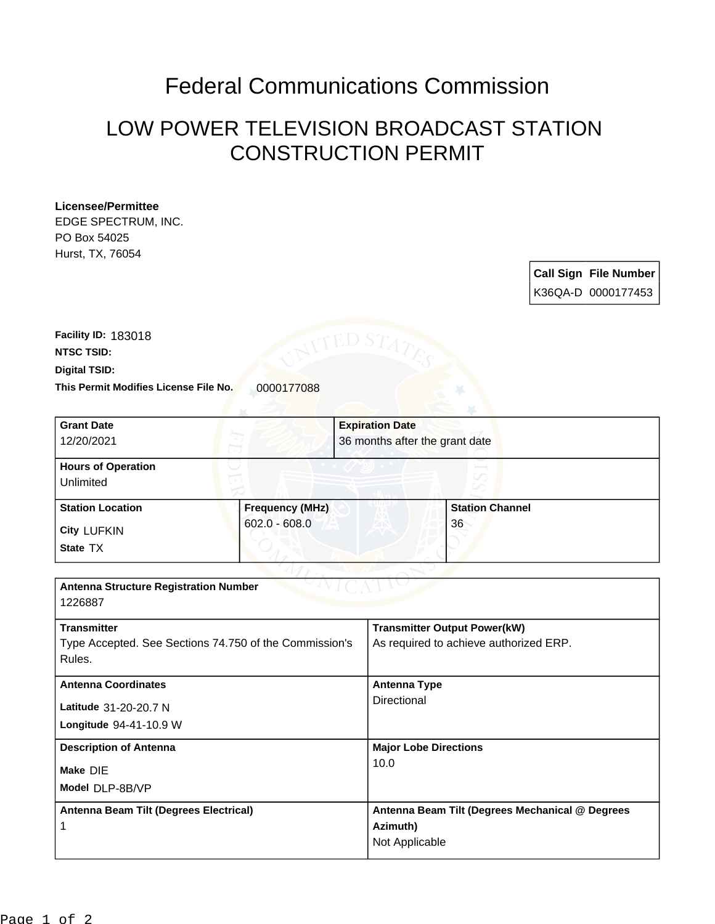## Federal Communications Commission

## LOW POWER TELEVISION BROADCAST STATION CONSTRUCTION PERMIT

## **Licensee/Permittee**

EDGE SPECTRUM, INC. PO Box 54025 Hurst, TX, 76054

> **Call Sign File Number** K36QA-D 0000177453

This Permit Modifies License File No. 0000177088 **Digital TSID: NTSC TSID: Facility ID:** 183018

| <b>Grant Date</b>                                      |                        | <b>Expiration Date</b> |                                                             |  |
|--------------------------------------------------------|------------------------|------------------------|-------------------------------------------------------------|--|
| 12/20/2021                                             |                        |                        | 36 months after the grant date                              |  |
| <b>Hours of Operation</b>                              |                        |                        |                                                             |  |
| Unlimited                                              |                        |                        |                                                             |  |
| <b>Station Location</b>                                | <b>Frequency (MHz)</b> |                        | <b>Station Channel</b>                                      |  |
| <b>City LUFKIN</b>                                     | $602.0 - 608.0$        |                        | 36                                                          |  |
| State TX                                               |                        |                        |                                                             |  |
|                                                        |                        |                        |                                                             |  |
| <b>Antenna Structure Registration Number</b>           |                        |                        |                                                             |  |
| 1226887                                                |                        |                        |                                                             |  |
| <b>Transmitter</b>                                     |                        |                        | <b>Transmitter Output Power(kW)</b>                         |  |
| Type Accepted. See Sections 74.750 of the Commission's |                        |                        | As required to achieve authorized ERP.                      |  |
| Rules.                                                 |                        |                        |                                                             |  |
| <b>Antenna Coordinates</b>                             |                        |                        | <b>Antenna Type</b>                                         |  |
| Latitude 31-20-20.7 N                                  |                        |                        | Directional                                                 |  |
| Longitude 94-41-10.9 W                                 |                        |                        |                                                             |  |
| <b>Description of Antenna</b>                          |                        |                        | <b>Major Lobe Directions</b>                                |  |
| Make DIE                                               |                        | 10.0                   |                                                             |  |
| Model DLP-8B/VP                                        |                        |                        |                                                             |  |
|                                                        |                        |                        |                                                             |  |
| Antenna Beam Tilt (Degrees Electrical)                 |                        |                        | Antenna Beam Tilt (Degrees Mechanical @ Degrees<br>Azimuth) |  |
| 1                                                      |                        |                        | Not Applicable                                              |  |
|                                                        |                        |                        |                                                             |  |